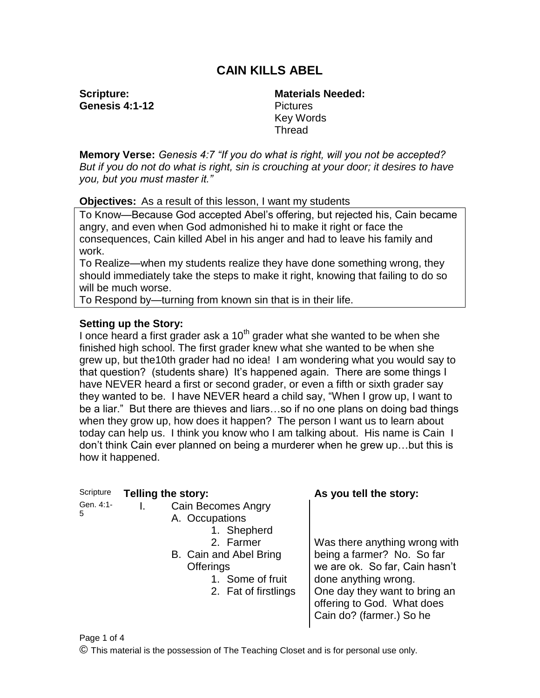# **CAIN KILLS ABEL**

**Scripture: Genesis 4:1-12** **Materials Needed: Pictures** Key Words Thread

**Memory Verse:** *Genesis 4:7 "If you do what is right, will you not be accepted? But if you do not do what is right, sin is crouching at your door; it desires to have you, but you must master it."*

**Objectives:** As a result of this lesson, I want my students

To Know—Because God accepted Abel's offering, but rejected his, Cain became angry, and even when God admonished hi to make it right or face the consequences, Cain killed Abel in his anger and had to leave his family and work.

To Realize—when my students realize they have done something wrong, they should immediately take the steps to make it right, knowing that failing to do so will be much worse.

To Respond by—turning from known sin that is in their life.

#### **Setting up the Story:**

I once heard a first grader ask a  $10<sup>th</sup>$  grader what she wanted to be when she finished high school. The first grader knew what she wanted to be when she grew up, but the10th grader had no idea! I am wondering what you would say to that question? (students share) It's happened again. There are some things I have NEVER heard a first or second grader, or even a fifth or sixth grader say they wanted to be. I have NEVER heard a child say, "When I grow up, I want to be a liar." But there are thieves and liars…so if no one plans on doing bad things when they grow up, how does it happen? The person I want us to learn about today can help us. I think you know who I am talking about. His name is Cain I don't think Cain ever planned on being a murderer when he grew up…but this is how it happened.

| Scripture      | Telling the story:                                                                                                                                                | As you tell the story:                                                                                                                                                                                           |
|----------------|-------------------------------------------------------------------------------------------------------------------------------------------------------------------|------------------------------------------------------------------------------------------------------------------------------------------------------------------------------------------------------------------|
| Gen. 4:1-<br>5 | <b>Cain Becomes Angry</b><br>A. Occupations<br>1. Shepherd<br>2. Farmer<br>B. Cain and Abel Bring<br><b>Offerings</b><br>1. Some of fruit<br>2. Fat of firstlings | Was there anything wrong with<br>being a farmer? No. So far<br>we are ok. So far, Cain hasn't<br>done anything wrong.<br>One day they want to bring an<br>offering to God. What does<br>Cain do? (farmer.) So he |

Page 1 of 4

© This material is the possession of The Teaching Closet and is for personal use only.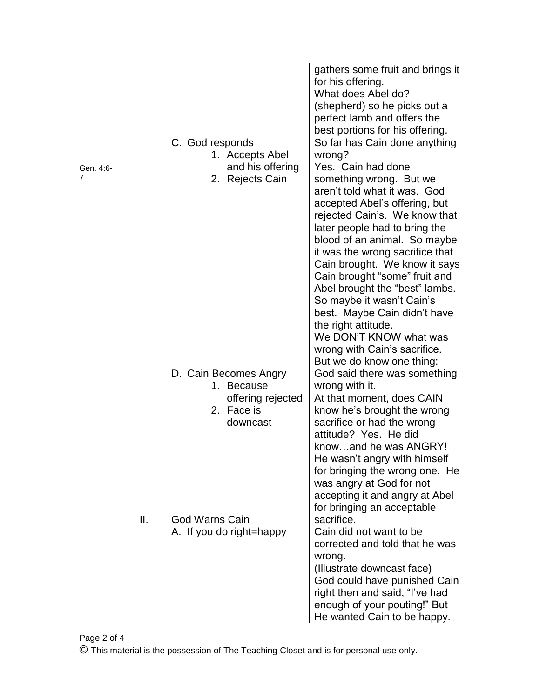| Gen. 4:6-<br>7 |     | C. God responds<br>1. Accepts Abel<br>and his offering<br>2. Rejects Cain | gathers some fruit and brings it<br>for his offering.<br>What does Abel do?<br>(shepherd) so he picks out a<br>perfect lamb and offers the<br>best portions for his offering.<br>So far has Cain done anything<br>wrong?<br>Yes. Cain had done<br>something wrong. But we<br>aren't told what it was. God<br>accepted Abel's offering, but<br>rejected Cain's. We know that<br>later people had to bring the<br>blood of an animal. So maybe<br>it was the wrong sacrifice that<br>Cain brought. We know it says<br>Cain brought "some" fruit and<br>Abel brought the "best" lambs.<br>So maybe it wasn't Cain's<br>best. Maybe Cain didn't have<br>the right attitude.<br>We DON'T KNOW what was<br>wrong with Cain's sacrifice.<br>But we do know one thing: |
|----------------|-----|---------------------------------------------------------------------------|----------------------------------------------------------------------------------------------------------------------------------------------------------------------------------------------------------------------------------------------------------------------------------------------------------------------------------------------------------------------------------------------------------------------------------------------------------------------------------------------------------------------------------------------------------------------------------------------------------------------------------------------------------------------------------------------------------------------------------------------------------------|
|                |     | D. Cain Becomes Angry<br>1. Because                                       | God said there was something<br>wrong with it.                                                                                                                                                                                                                                                                                                                                                                                                                                                                                                                                                                                                                                                                                                                 |
|                |     | offering rejected<br>2. Face is                                           | At that moment, does CAIN<br>know he's brought the wrong                                                                                                                                                                                                                                                                                                                                                                                                                                                                                                                                                                                                                                                                                                       |
|                |     | downcast                                                                  | sacrifice or had the wrong<br>attitude? Yes. He did<br>knowand he was ANGRY!<br>He wasn't angry with himself<br>for bringing the wrong one. He<br>was angry at God for not<br>accepting it and angry at Abel<br>for bringing an acceptable                                                                                                                                                                                                                                                                                                                                                                                                                                                                                                                     |
|                | II. | God Warns Cain<br>A. If you do right=happy                                | sacrifice.<br>Cain did not want to be<br>corrected and told that he was<br>wrong.<br>(Illustrate downcast face)<br>God could have punished Cain<br>right then and said, "I've had<br>enough of your pouting!" But<br>He wanted Cain to be happy.                                                                                                                                                                                                                                                                                                                                                                                                                                                                                                               |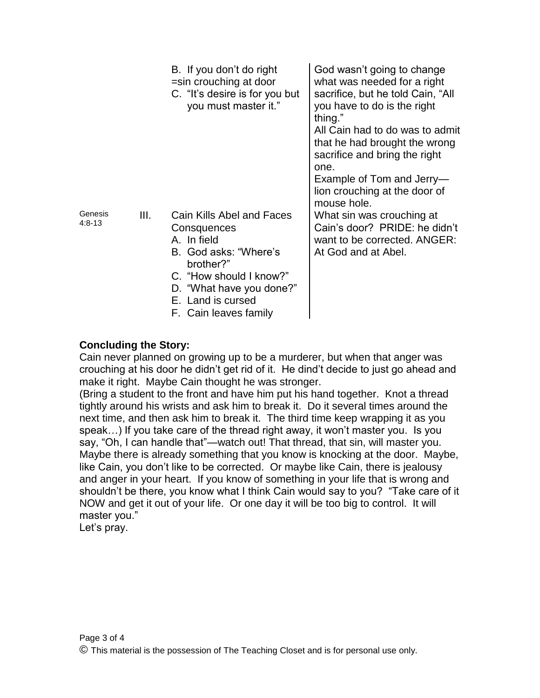|                     |      | B. If you don't do right<br>=sin crouching at door<br>C. "It's desire is for you but<br>you must master it."                                                                                       | God wasn't going to change<br>what was needed for a right<br>sacrifice, but he told Cain, "All<br>you have to do is the right<br>thing."<br>All Cain had to do was to admit<br>that he had brought the wrong<br>sacrifice and bring the right<br>one.<br>Example of Tom and Jerry-<br>lion crouching at the door of |
|---------------------|------|----------------------------------------------------------------------------------------------------------------------------------------------------------------------------------------------------|---------------------------------------------------------------------------------------------------------------------------------------------------------------------------------------------------------------------------------------------------------------------------------------------------------------------|
| Genesis<br>$4:8-13$ | III. | Cain Kills Abel and Faces<br>Consquences<br>A. In field<br>B. God asks: "Where's<br>brother?"<br>C. "How should I know?"<br>D. "What have you done?"<br>E. Land is cursed<br>F. Cain leaves family | mouse hole.<br>What sin was crouching at<br>Cain's door? PRIDE: he didn't<br>want to be corrected. ANGER:<br>At God and at Abel.                                                                                                                                                                                    |

# **Concluding the Story:**

Cain never planned on growing up to be a murderer, but when that anger was crouching at his door he didn't get rid of it. He dind't decide to just go ahead and make it right. Maybe Cain thought he was stronger.

(Bring a student to the front and have him put his hand together. Knot a thread tightly around his wrists and ask him to break it. Do it several times around the next time, and then ask him to break it. The third time keep wrapping it as you speak…) If you take care of the thread right away, it won't master you. Is you say, "Oh, I can handle that"—watch out! That thread, that sin, will master you. Maybe there is already something that you know is knocking at the door. Maybe, like Cain, you don't like to be corrected. Or maybe like Cain, there is jealousy and anger in your heart. If you know of something in your life that is wrong and shouldn't be there, you know what I think Cain would say to you? "Take care of it NOW and get it out of your life. Or one day it will be too big to control. It will master you."

Let's pray.